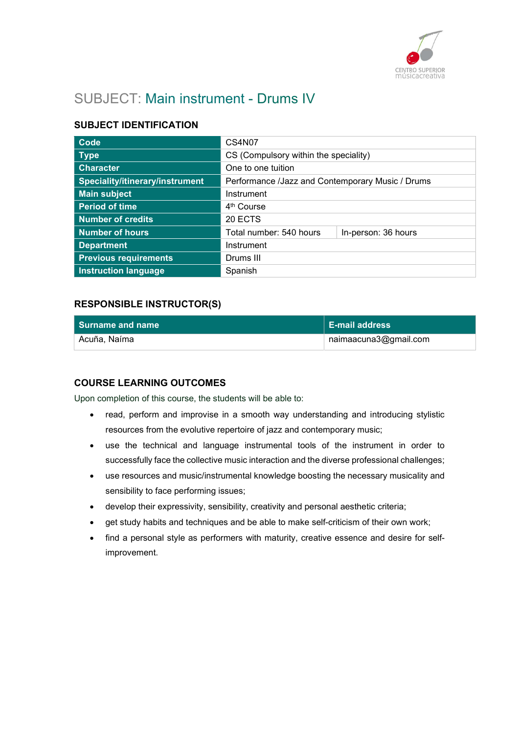

# SUBJECT: Main instrument - Drums IV

## SUBJECT IDENTIFICATION

| Code                            | CS4N07                                           |                     |
|---------------------------------|--------------------------------------------------|---------------------|
| <b>Type</b>                     | CS (Compulsory within the speciality)            |                     |
| <b>Character</b>                | One to one tuition                               |                     |
| Speciality/itinerary/instrument | Performance /Jazz and Contemporary Music / Drums |                     |
| <b>Main subject</b>             | Instrument                                       |                     |
| <b>Period of time</b>           | 4 <sup>th</sup> Course                           |                     |
| <b>Number of credits</b>        | 20 ECTS                                          |                     |
| <b>Number of hours</b>          | Total number: 540 hours                          | In-person: 36 hours |
| <b>Department</b>               | Instrument                                       |                     |
| <b>Previous requirements</b>    | Drums III                                        |                     |
| <b>Instruction language</b>     | Spanish                                          |                     |

### RESPONSIBLE INSTRUCTOR(S)

| <b>Surname and name</b> | ∣ E-mail address          |
|-------------------------|---------------------------|
| Acuña, Naíma            | naimaacuna $3@$ gmail.com |

### COURSE LEARNING OUTCOMES

Upon completion of this course, the students will be able to:

- read, perform and improvise in a smooth way understanding and introducing stylistic resources from the evolutive repertoire of jazz and contemporary music;
- use the technical and language instrumental tools of the instrument in order to successfully face the collective music interaction and the diverse professional challenges;
- use resources and music/instrumental knowledge boosting the necessary musicality and sensibility to face performing issues;
- develop their expressivity, sensibility, creativity and personal aesthetic criteria;
- get study habits and techniques and be able to make self-criticism of their own work;
- find a personal style as performers with maturity, creative essence and desire for selfimprovement.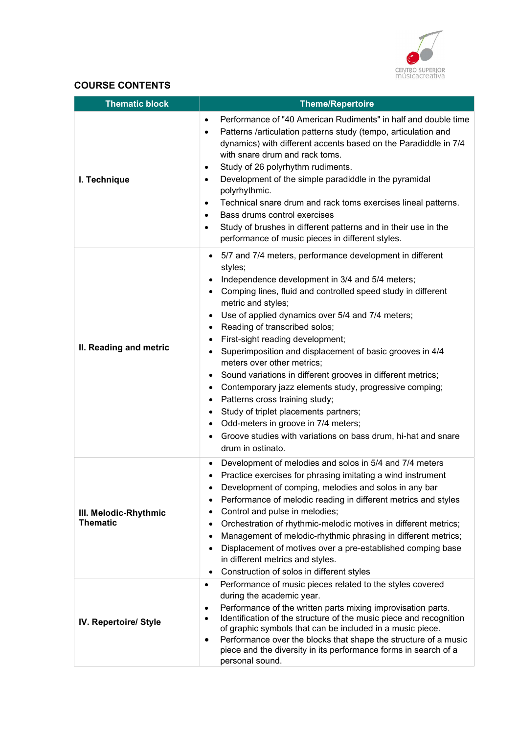

# COURSE CONTENTS

| <b>Thematic block</b>                    | <b>Theme/Repertoire</b>                                                                                                                                                                                                                                                                                                                                                                                                                                                                                                                                                                                                                                                                                                                                                            |  |
|------------------------------------------|------------------------------------------------------------------------------------------------------------------------------------------------------------------------------------------------------------------------------------------------------------------------------------------------------------------------------------------------------------------------------------------------------------------------------------------------------------------------------------------------------------------------------------------------------------------------------------------------------------------------------------------------------------------------------------------------------------------------------------------------------------------------------------|--|
| I. Technique                             | Performance of "40 American Rudiments" in half and double time<br>$\bullet$<br>Patterns /articulation patterns study (tempo, articulation and<br>$\bullet$<br>dynamics) with different accents based on the Paradiddle in 7/4<br>with snare drum and rack toms.<br>Study of 26 polyrhythm rudiments.<br>$\bullet$<br>Development of the simple paradiddle in the pyramidal<br>$\bullet$<br>polyrhythmic.<br>Technical snare drum and rack toms exercises lineal patterns.<br>$\bullet$<br>Bass drums control exercises<br>$\bullet$<br>Study of brushes in different patterns and in their use in the<br>$\bullet$<br>performance of music pieces in different styles.                                                                                                             |  |
| II. Reading and metric                   | 5/7 and 7/4 meters, performance development in different<br>styles;<br>Independence development in 3/4 and 5/4 meters;<br>Comping lines, fluid and controlled speed study in different<br>metric and styles;<br>Use of applied dynamics over 5/4 and 7/4 meters;<br>Reading of transcribed solos;<br>First-sight reading development;<br>Superimposition and displacement of basic grooves in 4/4<br>meters over other metrics;<br>Sound variations in different grooves in different metrics;<br>Contemporary jazz elements study, progressive comping;<br>$\bullet$<br>Patterns cross training study;<br>٠<br>Study of triplet placements partners;<br>Odd-meters in groove in 7/4 meters;<br>Groove studies with variations on bass drum, hi-hat and snare<br>drum in ostinato. |  |
| III. Melodic-Rhythmic<br><b>Thematic</b> | Development of melodies and solos in 5/4 and 7/4 meters<br>Practice exercises for phrasing imitating a wind instrument<br>Development of comping, melodies and solos in any bar<br>Performance of melodic reading in different metrics and styles<br>$\bullet$<br>Control and pulse in melodies;<br>Orchestration of rhythmic-melodic motives in different metrics;<br>Management of melodic-rhythmic phrasing in different metrics;<br>Displacement of motives over a pre-established comping base<br>in different metrics and styles.<br>Construction of solos in different styles                                                                                                                                                                                               |  |
| IV. Repertoire/ Style                    | Performance of music pieces related to the styles covered<br>$\bullet$<br>during the academic year.<br>Performance of the written parts mixing improvisation parts.<br>$\bullet$<br>Identification of the structure of the music piece and recognition<br>$\bullet$<br>of graphic symbols that can be included in a music piece.<br>Performance over the blocks that shape the structure of a music<br>$\bullet$<br>piece and the diversity in its performance forms in search of a<br>personal sound.                                                                                                                                                                                                                                                                             |  |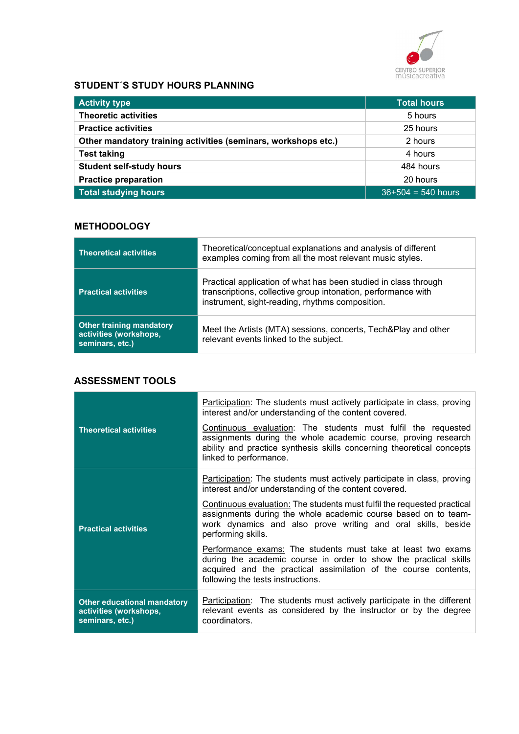

# STUDENT´S STUDY HOURS PLANNING

| <b>Activity type</b>                                           | <b>Total hours</b>   |
|----------------------------------------------------------------|----------------------|
| <b>Theoretic activities</b>                                    | 5 hours              |
| <b>Practice activities</b>                                     | 25 hours             |
| Other mandatory training activities (seminars, workshops etc.) | 2 hours              |
| <b>Test taking</b>                                             | 4 hours              |
| <b>Student self-study hours</b>                                | 484 hours            |
| <b>Practice preparation</b>                                    | 20 hours             |
| Total studying hours                                           | $36+504 = 540$ hours |

## **METHODOLOGY**

| <b>Theoretical activities</b>                                                | Theoretical/conceptual explanations and analysis of different<br>examples coming from all the most relevant music styles.                                                           |
|------------------------------------------------------------------------------|-------------------------------------------------------------------------------------------------------------------------------------------------------------------------------------|
| <b>Practical activities</b>                                                  | Practical application of what has been studied in class through<br>transcriptions, collective group intonation, performance with<br>instrument, sight-reading, rhythms composition. |
| <b>Other training mandatory</b><br>activities (workshops,<br>seminars, etc.) | Meet the Artists (MTA) sessions, concerts, Tech&Play and other<br>relevant events linked to the subject.                                                                            |

### ASSESSMENT TOOLS

| <b>Theoretical activities</b>                                                   | Participation: The students must actively participate in class, proving<br>interest and/or understanding of the content covered.<br>Continuous evaluation: The students must fulfil the requested<br>assignments during the whole academic course, proving research<br>ability and practice synthesis skills concerning theoretical concepts<br>linked to performance. |
|---------------------------------------------------------------------------------|------------------------------------------------------------------------------------------------------------------------------------------------------------------------------------------------------------------------------------------------------------------------------------------------------------------------------------------------------------------------|
|                                                                                 | Participation: The students must actively participate in class, proving<br>interest and/or understanding of the content covered.                                                                                                                                                                                                                                       |
| <b>Practical activities</b>                                                     | Continuous evaluation: The students must fulfil the requested practical<br>assignments during the whole academic course based on to team-<br>work dynamics and also prove writing and oral skills, beside<br>performing skills.                                                                                                                                        |
|                                                                                 | Performance exams: The students must take at least two exams<br>during the academic course in order to show the practical skills<br>acquired and the practical assimilation of the course contents,<br>following the tests instructions.                                                                                                                               |
| <b>Other educational mandatory</b><br>activities (workshops,<br>seminars, etc.) | Participation: The students must actively participate in the different<br>relevant events as considered by the instructor or by the degree<br>coordinators.                                                                                                                                                                                                            |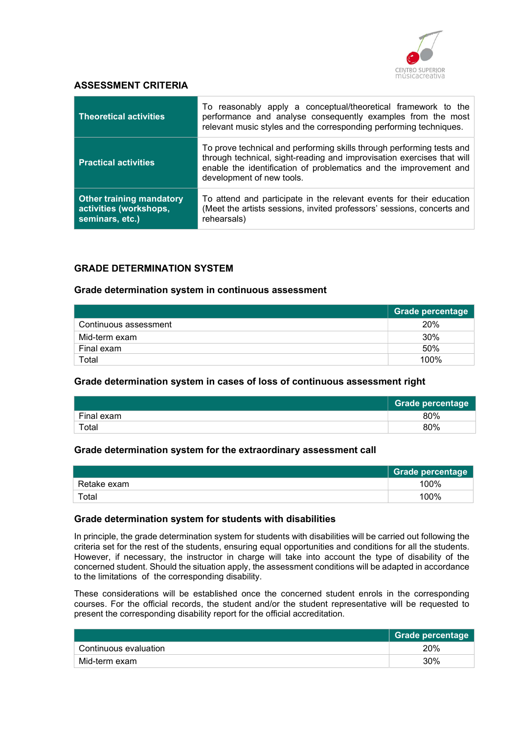

### ASSESSMENT CRITERIA

| <b>Theoretical activities</b>                                                | To reasonably apply a conceptual/theoretical framework to the<br>performance and analyse consequently examples from the most<br>relevant music styles and the corresponding performing techniques.                                                |
|------------------------------------------------------------------------------|---------------------------------------------------------------------------------------------------------------------------------------------------------------------------------------------------------------------------------------------------|
| <b>Practical activities</b>                                                  | To prove technical and performing skills through performing tests and<br>through technical, sight-reading and improvisation exercises that will<br>enable the identification of problematics and the improvement and<br>development of new tools. |
| <b>Other training mandatory</b><br>activities (workshops,<br>seminars, etc.) | To attend and participate in the relevant events for their education<br>(Meet the artists sessions, invited professors' sessions, concerts and<br>rehearsals)                                                                                     |

## GRADE DETERMINATION SYSTEM

#### Grade determination system in continuous assessment

|                       | <b>Grade percentage</b> |
|-----------------------|-------------------------|
| Continuous assessment | 20%                     |
| Mid-term exam         | 30%                     |
| Final exam            | 50%                     |
| Total                 | 100%                    |

#### Grade determination system in cases of loss of continuous assessment right

|            | <b>Grade percentage</b> |
|------------|-------------------------|
| Final exam | 80%                     |
| Total      | 80%                     |

#### Grade determination system for the extraordinary assessment call

|             | Grade percentage |
|-------------|------------------|
| Retake exam | 100%             |
| Total       | 100%             |

#### Grade determination system for students with disabilities

In principle, the grade determination system for students with disabilities will be carried out following the criteria set for the rest of the students, ensuring equal opportunities and conditions for all the students. However, if necessary, the instructor in charge will take into account the type of disability of the concerned student. Should the situation apply, the assessment conditions will be adapted in accordance to the limitations of the corresponding disability.

These considerations will be established once the concerned student enrols in the corresponding courses. For the official records, the student and/or the student representative will be requested to present the corresponding disability report for the official accreditation.

|                       | Grade percentage |
|-----------------------|------------------|
| Continuous evaluation | 20%              |
| Mid-term exam         | 30%              |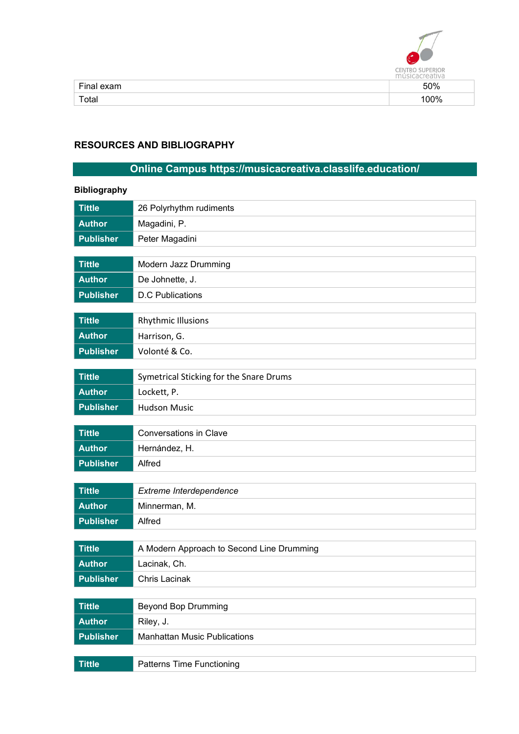

|       | .<br>.<br>$-11111$<br>. |
|-------|-------------------------|
| Ein   | 50%                     |
| Total | ገ0%                     |

# RESOURCES AND BIBLIOGRAPHY

# Online Campus https://musicacreativa.classlife.education/

| <b>Bibliography</b> |                                           |
|---------------------|-------------------------------------------|
| <b>Tittle</b>       | 26 Polyrhythm rudiments                   |
| <b>Author</b>       | Magadini, P.                              |
| <b>Publisher</b>    | Peter Magadini                            |
|                     |                                           |
| <b>Tittle</b>       | Modern Jazz Drumming                      |
| <b>Author</b>       | De Johnette, J.                           |
| <b>Publisher</b>    | <b>D.C Publications</b>                   |
|                     |                                           |
| <b>Tittle</b>       | <b>Rhythmic Illusions</b>                 |
| <b>Author</b>       | Harrison, G.                              |
| <b>Publisher</b>    | Volonté & Co.                             |
| <b>Tittle</b>       | Symetrical Sticking for the Snare Drums   |
| <b>Author</b>       |                                           |
|                     | Lockett, P.<br><b>Hudson Music</b>        |
| <b>Publisher</b>    |                                           |
| <b>Tittle</b>       | <b>Conversations in Clave</b>             |
| <b>Author</b>       | Hernández, H.                             |
| <b>Publisher</b>    | Alfred                                    |
|                     |                                           |
| <b>Tittle</b>       | Extreme Interdependence                   |
| <b>Author</b>       | Minnerman, M.                             |
| <b>Publisher</b>    | Alfred                                    |
|                     |                                           |
| <b>Tittle</b>       | A Modern Approach to Second Line Drumming |
| <b>Author</b>       | Lacinak, Ch.                              |
| <b>Publisher</b>    | Chris Lacinak                             |
|                     |                                           |
| <b>Tittle</b>       | <b>Beyond Bop Drumming</b>                |
| <b>Author</b>       | Riley, J.                                 |
| <b>Publisher</b>    | <b>Manhattan Music Publications</b>       |
|                     |                                           |
| <b>Tittle</b>       | Patterns Time Functioning                 |